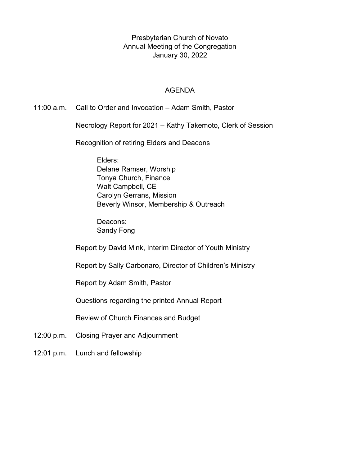Presbyterian Church of Novato Annual Meeting of the Congregation January 30, 2022

#### AGENDA

11:00 a.m. Call to Order and Invocation – Adam Smith, Pastor

Necrology Report for 2021 – Kathy Takemoto, Clerk of Session

Recognition of retiring Elders and Deacons

Elders: Delane Ramser, Worship Tonya Church, Finance Walt Campbell, CE Carolyn Gerrans, Mission Beverly Winsor, Membership & Outreach

Deacons: Sandy Fong

Report by David Mink, Interim Director of Youth Ministry

Report by Sally Carbonaro, Director of Children's Ministry

Report by Adam Smith, Pastor

Questions regarding the printed Annual Report

Review of Church Finances and Budget

- 12:00 p.m. Closing Prayer and Adjournment
- 12:01 p.m. Lunch and fellowship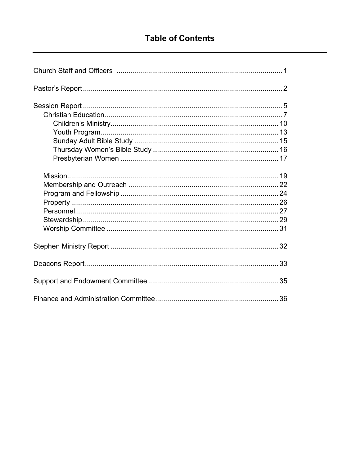# **Table of Contents**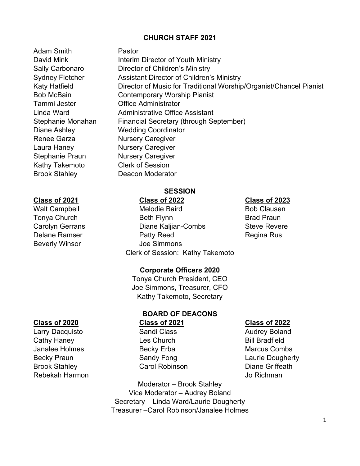#### **CHURCH STAFF 2021**

Adam Smith Pastor Renee Garza **Nursery Caregiver** Laura Haney Nursery Caregiver Stephanie Praun Nursery Caregiver Kathy Takemoto Clerk of Session Brook Stahley Deacon Moderator

#### **Class of 2021 Class of 2022 Class of 2023**

Cathy Haney **Les Church** Cathy Haney **Cathy Haney** Janalee Holmes **Becky Erba** Marcus Combs Becky Praun **Sandy Fong** Caucist Caurie Dougherty Brook Stahley **Carol Robinson** Carol Robinson **Diane Griffeath** Rebekah Harmon Jo Richman

David Mink **Interim Director of Youth Ministry** Sally Carbonaro Director of Children's Ministry Sydney Fletcher **Assistant Director of Children's Ministry** Katy Hatfield **Director of Music for Traditional Worship/Organist/Chancel Pianist** Bob McBain Contemporary Worship Pianist Tammi Jester Office Administrator Linda Ward Administrative Office Assistant Stephanie Monahan Financial Secretary (through September) Diane Ashley Wedding Coordinator

## **SESSION**

Walt Campbell **Melodie Baird** Bob Clausen Tonya Church **Beth Flynn** Beth Flynn Brad Praun Carolyn Gerrans **Diane Kaljian-Combs** Steve Revere Delane Ramser **Regina Rus** Patty Reed Regina Rus Beverly Winsor **Joe Simmons** Clerk of Session: Kathy Takemoto

#### **Corporate Officers 2020**

Tonya Church President, CEO Joe Simmons, Treasurer, CFO Kathy Takemoto, Secretary

#### **BOARD OF DEACONS Class of 2020 Class of 2021 Class of 2022**  Larry Dacquisto **Sandi Class** Class Audrey Boland

Moderator – Brook Stahley Vice Moderator – Audrey Boland Secretary – Linda Ward/Laurie Dougherty Treasurer –Carol Robinson/Janalee Holmes

- 
-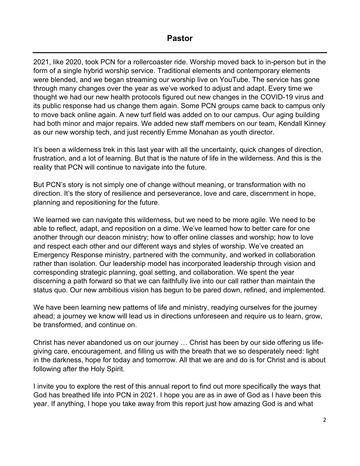# **Pastor**

2021, like 2020, took PCN for a rollercoaster ride. Worship moved back to in-person but in the form of a single hybrid worship service. Traditional elements and contemporary elements were blended, and we began streaming our worship live on YouTube. The service has gone through many changes over the year as we've worked to adjust and adapt. Every time we thought we had our new health protocols figured out new changes in the COVID-19 virus and its public response had us change them again. Some PCN groups came back to campus only to move back online again. A new turf field was added on to our campus. Our aging building had both minor and major repairs. We added new staff members on our team, Kendall Kinney as our new worship tech, and just recently Emme Monahan as youth director.

It's been a wilderness trek in this last year with all the uncertainty, quick changes of direction, frustration, and a lot of learning. But that is the nature of life in the wilderness. And this is the reality that PCN will continue to navigate into the future.

But PCN's story is not simply one of change without meaning, or transformation with no direction. It's the story of resilience and perseverance, love and care, discernment in hope, planning and repositioning for the future.

We learned we can navigate this wilderness, but we need to be more agile. We need to be able to reflect, adapt, and reposition on a dime. We've learned how to better care for one another through our deacon ministry; how to offer online classes and worship; how to love and respect each other and our different ways and styles of worship. We've created an Emergency Response ministry, partnered with the community, and worked in collaboration rather than isolation. Our leadership model has incorporated leadership through vision and corresponding strategic planning, goal setting, and collaboration. We spent the year discerning a path forward so that we can faithfully live into our call rather than maintain the status quo. Our new ambitious vision has begun to be pared down, refined, and implemented.

We have been learning new patterns of life and ministry, readying ourselves for the journey ahead; a journey we know will lead us in directions unforeseen and require us to learn, grow, be transformed, and continue on.

Christ has never abandoned us on our journey … Christ has been by our side offering us lifegiving care, encouragement, and filling us with the breath that we so desperately need: light in the darkness, hope for today and tomorrow. All that we are and do is for Christ and is about following after the Holy Spirit.

I invite you to explore the rest of this annual report to find out more specifically the ways that God has breathed life into PCN in 2021. I hope you are as in awe of God as I have been this year. If anything, I hope you take away from this report just how amazing God is and what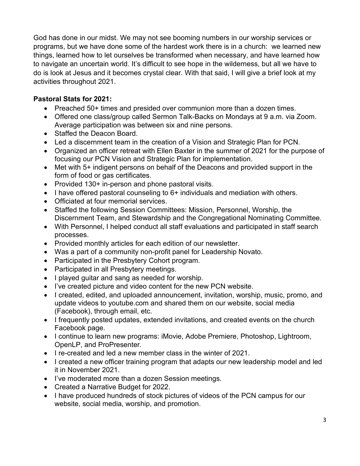God has done in our midst. We may not see booming numbers in our worship services or programs, but we have done some of the hardest work there is in a church: we learned new things, learned how to let ourselves be transformed when necessary, and have learned how to navigate an uncertain world. It's difficult to see hope in the wilderness, but all we have to do is look at Jesus and it becomes crystal clear. With that said, I will give a brief look at my activities throughout 2021.

# **Pastoral Stats for 2021:**

- Preached 50+ times and presided over communion more than a dozen times.
- Offered one class/group called Sermon Talk-Backs on Mondays at 9 a.m. via Zoom. Average participation was between six and nine persons.
- Staffed the Deacon Board.
- Led a discernment team in the creation of a Vision and Strategic Plan for PCN.
- Organized an officer retreat with Ellen Baxter in the summer of 2021 for the purpose of focusing our PCN Vision and Strategic Plan for implementation.
- Met with 5+ indigent persons on behalf of the Deacons and provided support in the form of food or gas certificates.
- Provided 130+ in-person and phone pastoral visits.
- I have offered pastoral counseling to 6+ individuals and mediation with others.
- Officiated at four memorial services.
- Staffed the following Session Committees: Mission, Personnel, Worship, the Discernment Team, and Stewardship and the Congregational Nominating Committee.
- With Personnel, I helped conduct all staff evaluations and participated in staff search processes.
- Provided monthly articles for each edition of our newsletter.
- Was a part of a community non-profit panel for Leadership Novato.
- Participated in the Presbytery Cohort program.
- Participated in all Presbytery meetings.
- I played guitar and sang as needed for worship.
- I've created picture and video content for the new PCN website.
- I created, edited, and uploaded announcement, invitation, worship, music, promo, and update videos to youtube.com and shared them on our website, social media (Facebook), through email, etc.
- I frequently posted updates, extended invitations, and created events on the church Facebook page.
- I continue to learn new programs: iMovie, Adobe Premiere, Photoshop, Lightroom, OpenLP, and ProPresenter.
- I re-created and led a new member class in the winter of 2021.
- I created a new officer training program that adapts our new leadership model and led it in November 2021.
- I've moderated more than a dozen Session meetings.
- Created a Narrative Budget for 2022.
- I have produced hundreds of stock pictures of videos of the PCN campus for our website, social media, worship, and promotion.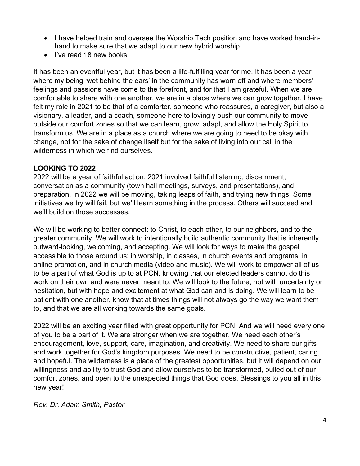- I have helped train and oversee the Worship Tech position and have worked hand-inhand to make sure that we adapt to our new hybrid worship.
- I've read 18 new books.

It has been an eventful year, but it has been a life-fulfilling year for me. It has been a year where my being 'wet behind the ears' in the community has worn off and where members' feelings and passions have come to the forefront, and for that I am grateful. When we are comfortable to share with one another, we are in a place where we can grow together. I have felt my role in 2021 to be that of a comforter, someone who reassures, a caregiver, but also a visionary, a leader, and a coach, someone here to lovingly push our community to move outside our comfort zones so that we can learn, grow, adapt, and allow the Holy Spirit to transform us. We are in a place as a church where we are going to need to be okay with change, not for the sake of change itself but for the sake of living into our call in the wilderness in which we find ourselves.

## **LOOKING TO 2022**

2022 will be a year of faithful action. 2021 involved faithful listening, discernment, conversation as a community (town hall meetings, surveys, and presentations), and preparation. In 2022 we will be moving, taking leaps of faith, and trying new things. Some initiatives we try will fail, but we'll learn something in the process. Others will succeed and we'll build on those successes.

We will be working to better connect: to Christ, to each other, to our neighbors, and to the greater community. We will work to intentionally build authentic community that is inherently outward-looking, welcoming, and accepting. We will look for ways to make the gospel accessible to those around us; in worship, in classes, in church events and programs, in online promotion, and in church media (video and music). We will work to empower all of us to be a part of what God is up to at PCN, knowing that our elected leaders cannot do this work on their own and were never meant to. We will look to the future, not with uncertainty or hesitation, but with hope and excitement at what God can and is doing. We will learn to be patient with one another, know that at times things will not always go the way we want them to, and that we are all working towards the same goals.

2022 will be an exciting year filled with great opportunity for PCN! And we will need every one of you to be a part of it. We are stronger when we are together. We need each other's encouragement, love, support, care, imagination, and creativity. We need to share our gifts and work together for God's kingdom purposes. We need to be constructive, patient, caring, and hopeful. The wilderness is a place of the greatest opportunities, but it will depend on our willingness and ability to trust God and allow ourselves to be transformed, pulled out of our comfort zones, and open to the unexpected things that God does. Blessings to you all in this new year!

*Rev. Dr. Adam Smith, Pastor*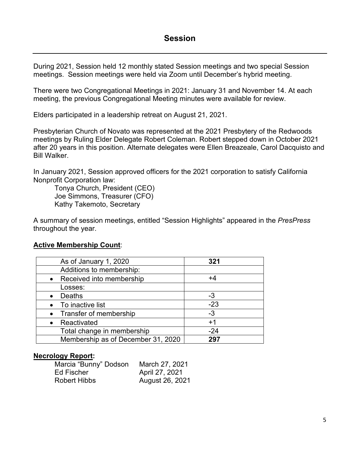# **Session**

During 2021, Session held 12 monthly stated Session meetings and two special Session meetings. Session meetings were held via Zoom until December's hybrid meeting.

There were two Congregational Meetings in 2021: January 31 and November 14. At each meeting, the previous Congregational Meeting minutes were available for review.

Elders participated in a leadership retreat on August 21, 2021.

Presbyterian Church of Novato was represented at the 2021 Presbytery of the Redwoods meetings by Ruling Elder Delegate Robert Coleman. Robert stepped down in October 2021 after 20 years in this position. Alternate delegates were Ellen Breazeale, Carol Dacquisto and Bill Walker.

In January 2021, Session approved officers for the 2021 corporation to satisfy California Nonprofit Corporation law:

 Tonya Church, President (CEO) Joe Simmons, Treasurer (CFO) Kathy Takemoto, Secretary

A summary of session meetings, entitled "Session Highlights" appeared in the *PresPress* throughout the year.

### **Active Membership Count**:

| As of January 1, 2020              | 321   |
|------------------------------------|-------|
| Additions to membership:           |       |
| • Received into membership         | +4    |
| Losses:                            |       |
| Deaths                             | -3    |
| • To inactive list                 | $-23$ |
| • Transfer of membership           | -3    |
| Reactivated                        | $+1$  |
| Total change in membership         | $-24$ |
| Membership as of December 31, 2020 | 297   |

### **Necrology Report:**

| Marcia "Bunny" Dodson | March 27, 2021  |
|-----------------------|-----------------|
| Ed Fischer            | April 27, 2021  |
| <b>Robert Hibbs</b>   | August 26, 2021 |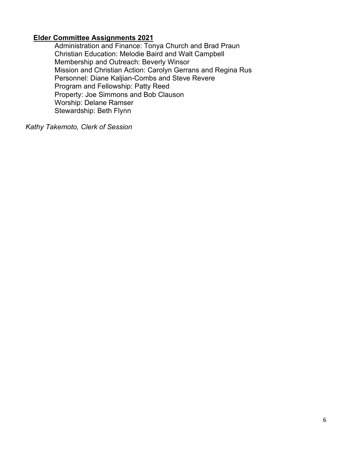### **Elder Committee Assignments 2021**

 Administration and Finance: Tonya Church and Brad Praun Christian Education: Melodie Baird and Walt Campbell Membership and Outreach: Beverly Winsor Mission and Christian Action: Carolyn Gerrans and Regina Rus Personnel: Diane Kaljian-Combs and Steve Revere Program and Fellowship: Patty Reed Property: Joe Simmons and Bob Clauson Worship: Delane Ramser Stewardship: Beth Flynn

*Kathy Takemoto, Clerk of Session*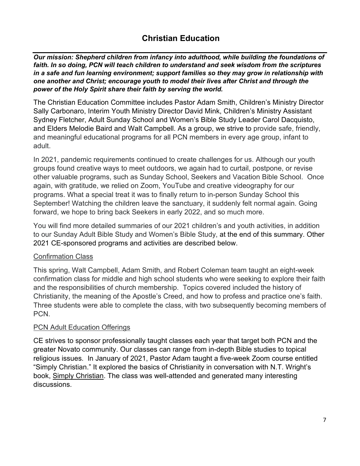# **Christian Education**

*Our mission: Shepherd children from infancy into adulthood, while building the foundations of faith. In so doing, PCN will teach children to understand and seek wisdom from the scriptures in a safe and fun learning environment; support families so they may grow in relationship with one another and Christ; encourage youth to model their lives after Christ and through the power of the Holy Spirit share their faith by serving the world.* 

The Christian Education Committee includes Pastor Adam Smith, Children's Ministry Director Sally Carbonaro, Interim Youth Ministry Director David Mink, Children's Ministry Assistant Sydney Fletcher, Adult Sunday School and Women's Bible Study Leader Carol Dacquisto, and Elders Melodie Baird and Walt Campbell. As a group, we strive to provide safe, friendly, and meaningful educational programs for all PCN members in every age group, infant to adult.

In 2021, pandemic requirements continued to create challenges for us. Although our youth groups found creative ways to meet outdoors, we again had to curtail, postpone, or revise other valuable programs, such as Sunday School, Seekers and Vacation Bible School. Once again, with gratitude, we relied on Zoom, YouTube and creative videography for our programs. What a special treat it was to finally return to in-person Sunday School this September! Watching the children leave the sanctuary, it suddenly felt normal again. Going forward, we hope to bring back Seekers in early 2022, and so much more.

You will find more detailed summaries of our 2021 children's and youth activities, in addition to our Sunday Adult Bible Study and Women's Bible Study, at the end of this summary. Other 2021 CE-sponsored programs and activities are described below.

### Confirmation Class

This spring, Walt Campbell, Adam Smith, and Robert Coleman team taught an eight-week confirmation class for middle and high school students who were seeking to explore their faith and the responsibilities of church membership. Topics covered included the history of Christianity, the meaning of the Apostle's Creed, and how to profess and practice one's faith. Three students were able to complete the class, with two subsequently becoming members of PCN.

### PCN Adult Education Offerings

CE strives to sponsor professionally taught classes each year that target both PCN and the greater Novato community. Our classes can range from in-depth Bible studies to topical religious issues. In January of 2021, Pastor Adam taught a five-week Zoom course entitled "Simply Christian." It explored the basics of Christianity in conversation with N.T. Wright's book, Simply Christian. The class was well-attended and generated many interesting discussions.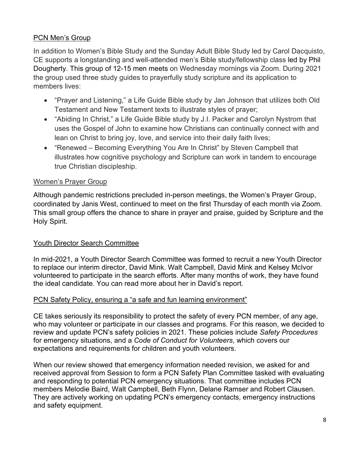# PCN Men's Group

In addition to Women's Bible Study and the Sunday Adult Bible Study led by Carol Dacquisto, CE supports a longstanding and well-attended men's Bible study/fellowship class led by Phil Dougherty. This group of 12-15 men meets on Wednesday mornings via Zoom. During 2021 the group used three study guides to prayerfully study scripture and its application to members lives:

- "Prayer and Listening," a Life Guide Bible study by Jan Johnson that utilizes both Old Testament and New Testament texts to illustrate styles of prayer;
- "Abiding In Christ," a Life Guide Bible study by J.I. Packer and Carolyn Nystrom that uses the Gospel of John to examine how Christians can continually connect with and lean on Christ to bring joy, love, and service into their daily faith lives;
- "Renewed Becoming Everything You Are In Christ" by Steven Campbell that illustrates how cognitive psychology and Scripture can work in tandem to encourage true Christian discipleship.

# Women's Prayer Group

Although pandemic restrictions precluded in-person meetings, the Women's Prayer Group, coordinated by Janis West, continued to meet on the first Thursday of each month via Zoom. This small group offers the chance to share in prayer and praise, guided by Scripture and the Holy Spirit.

# Youth Director Search Committee

In mid-2021, a Youth Director Search Committee was formed to recruit a new Youth Director to replace our interim director, David Mink. Walt Campbell, David Mink and Kelsey McIvor volunteered to participate in the search efforts. After many months of work, they have found the ideal candidate. You can read more about her in David's report.

# PCN Safety Policy, ensuring a "a safe and fun learning environment"

CE takes seriously its responsibility to protect the safety of every PCN member, of any age, who may volunteer or participate in our classes and programs. For this reason, we decided to review and update PCN's safety policies in 2021. These policies include *Safety Procedures*  for emergency situations, and a *Code of Conduct for Volunteers*, which covers our expectations and requirements for children and youth volunteers.

When our review showed that emergency information needed revision, we asked for and received approval from Session to form a PCN Safety Plan Committee tasked with evaluating and responding to potential PCN emergency situations. That committee includes PCN members Melodie Baird, Walt Campbell, Beth Flynn, Delane Ramser and Robert Clausen. They are actively working on updating PCN's emergency contacts, emergency instructions and safety equipment.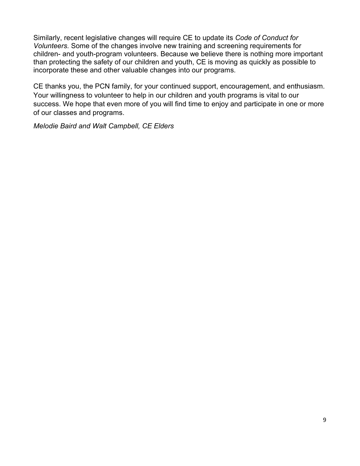Similarly, recent legislative changes will require CE to update its *Code of Conduct for Volunteers.* Some of the changes involve new training and screening requirements for children- and youth-program volunteers. Because we believe there is nothing more important than protecting the safety of our children and youth, CE is moving as quickly as possible to incorporate these and other valuable changes into our programs.

CE thanks you, the PCN family, for your continued support, encouragement, and enthusiasm. Your willingness to volunteer to help in our children and youth programs is vital to our success. We hope that even more of you will find time to enjoy and participate in one or more of our classes and programs.

*Melodie Baird and Walt Campbell, CE Elders*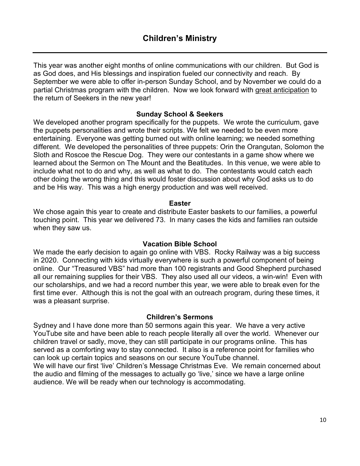This year was another eight months of online communications with our children. But God is as God does, and His blessings and inspiration fueled our connectivity and reach. By September we were able to offer in-person Sunday School, and by November we could do a partial Christmas program with the children. Now we look forward with great anticipation to the return of Seekers in the new year!

## **Sunday School & Seekers**

We developed another program specifically for the puppets. We wrote the curriculum, gave the puppets personalities and wrote their scripts. We felt we needed to be even more entertaining. Everyone was getting burned out with online learning; we needed something different. We developed the personalities of three puppets: Orin the Orangutan, Solomon the Sloth and Roscoe the Rescue Dog. They were our contestants in a game show where we learned about the Sermon on The Mount and the Beatitudes. In this venue, we were able to include what not to do and why, as well as what to do. The contestants would catch each other doing the wrong thing and this would foster discussion about why God asks us to do and be His way. This was a high energy production and was well received.

#### **Easter**

We chose again this year to create and distribute Easter baskets to our families, a powerful touching point. This year we delivered 73. In many cases the kids and families ran outside when they saw us.

### **Vacation Bible School**

We made the early decision to again go online with VBS. Rocky Railway was a big success in 2020. Connecting with kids virtually everywhere is such a powerful component of being online. Our "Treasured VBS" had more than 100 registrants and Good Shepherd purchased all our remaining supplies for their VBS. They also used all our videos, a win-win! Even with our scholarships, and we had a record number this year, we were able to break even for the first time ever. Although this is not the goal with an outreach program, during these times, it was a pleasant surprise.

#### **Children's Sermons**

Sydney and I have done more than 50 sermons again this year. We have a very active YouTube site and have been able to reach people literally all over the world. Whenever our children travel or sadly, move, they can still participate in our programs online. This has served as a comforting way to stay connected. It also is a reference point for families who can look up certain topics and seasons on our secure YouTube channel.

We will have our first 'live' Children's Message Christmas Eve. We remain concerned about the audio and filming of the messages to actually go 'live,' since we have a large online audience. We will be ready when our technology is accommodating.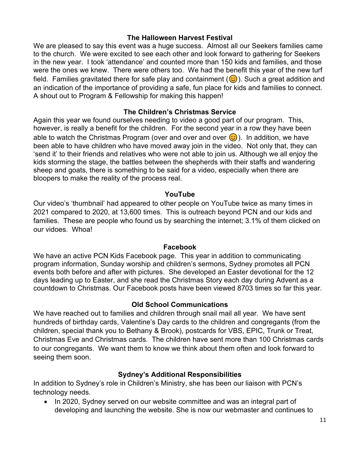#### **The Halloween Harvest Festival**

We are pleased to say this event was a huge success. Almost all our Seekers families came to the church. We were excited to see each other and look forward to gathering for Seekers in the new year. I took 'attendance' and counted more than 150 kids and families, and those were the ones we knew. There were others too. We had the benefit this year of the new turf field. Families gravitated there for safe play and containment (۞). Such a great addition and an indication of the importance of providing a safe, fun place for kids and families to connect. A shout out to Program & Fellowship for making this happen!

### **The Children's Christmas Service**

Again this year we found ourselves needing to video a good part of our program. This, however, is really a benefit for the children. For the second year in a row they have been able to watch the Christmas Program (over and over and over  $\odot$  ). In addition, we have been able to have children who have moved away join in the video. Not only that, they can 'send it' to their friends and relatives who were not able to join us. Although we all enjoy the kids storming the stage, the battles between the shepherds with their staffs and wandering sheep and goats, there is something to be said for a video, especially when there are bloopers to make the reality of the process real.

#### **YouTube**

Our video's 'thumbnail' had appeared to other people on YouTube twice as many times in 2021 compared to 2020, at 13,600 times. This is outreach beyond PCN and our kids and families. These are people who found us by searching the internet; 3.1% of them clicked on our vidoes. Whoa!

#### **Facebook**

We have an active PCN Kids Facebook page. This year in addition to communicating program information, Sunday worship and children's sermons, Sydney promotes all PCN events both before and after with pictures. She developed an Easter devotional for the 12 days leading up to Easter, and she read the Christmas Story each day during Advent as a countdown to Christmas. Our Facebook posts have been viewed 8703 times so far this year.

#### **Old School Communications**

We have reached out to families and children through snail mail all year. We have sent hundreds of birthday cards, Valentine's Day cards to the children and congregants (from the children, special thank you to Bethany & Brook), postcards for VBS, EPIC, Trunk or Treat, Christmas Eve and Christmas cards. The children have sent more than 100 Christmas cards to our congregants. We want them to know we think about them often and look forward to seeing them soon.

#### **Sydney's Additional Responsibilities**

In addition to Sydney's role in Children's Ministry, she has been our liaison with PCN's technology needs.

• In 2020, Sydney served on our website committee and was an integral part of developing and launching the website. She is now our webmaster and continues to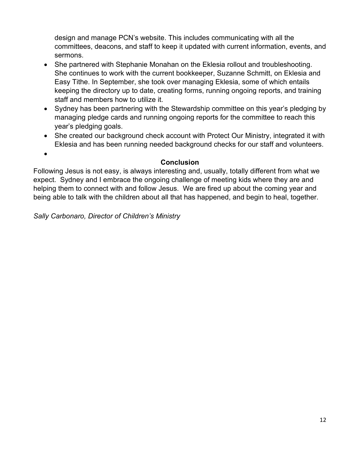design and manage PCN's website. This includes communicating with all the committees, deacons, and staff to keep it updated with current information, events, and sermons.

- She partnered with Stephanie Monahan on the Eklesia rollout and troubleshooting. She continues to work with the current bookkeeper, Suzanne Schmitt, on Eklesia and Easy Tithe. In September, she took over managing Eklesia, some of which entails keeping the directory up to date, creating forms, running ongoing reports, and training staff and members how to utilize it.
- Sydney has been partnering with the Stewardship committee on this year's pledging by managing pledge cards and running ongoing reports for the committee to reach this year's pledging goals.
- She created our background check account with Protect Our Ministry, integrated it with Eklesia and has been running needed background checks for our staff and volunteers.
	- **Conclusion**

# Following Jesus is not easy, is always interesting and, usually, totally different from what we expect. Sydney and I embrace the ongoing challenge of meeting kids where they are and helping them to connect with and follow Jesus. We are fired up about the coming year and being able to talk with the children about all that has happened, and begin to heal, together.

*Sally Carbonaro, Director of Children's Ministry* 

 $\bullet$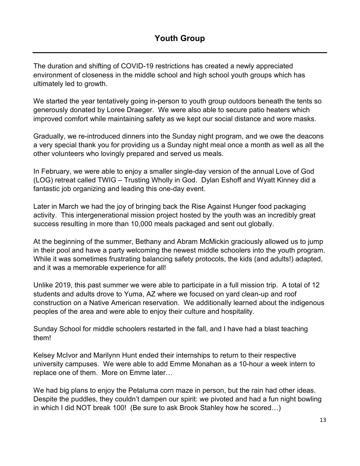The duration and shifting of COVID-19 restrictions has created a newly appreciated environment of closeness in the middle school and high school youth groups which has ultimately led to growth.

We started the year tentatively going in-person to youth group outdoors beneath the tents so generously donated by Loree Draeger. We were also able to secure patio heaters which improved comfort while maintaining safety as we kept our social distance and wore masks.

Gradually, we re-introduced dinners into the Sunday night program, and we owe the deacons a very special thank you for providing us a Sunday night meal once a month as well as all the other volunteers who lovingly prepared and served us meals.

In February, we were able to enjoy a smaller single-day version of the annual Love of God (LOG) retreat called TWIG – Trusting Wholly in God. Dylan Eshoff and Wyatt Kinney did a fantastic job organizing and leading this one-day event.

Later in March we had the joy of bringing back the Rise Against Hunger food packaging activity. This intergenerational mission project hosted by the youth was an incredibly great success resulting in more than 10,000 meals packaged and sent out globally.

At the beginning of the summer, Bethany and Abram McMickin graciously allowed us to jump in their pool and have a party welcoming the newest middle schoolers into the youth program. While it was sometimes frustrating balancing safety protocols, the kids (and adults!) adapted, and it was a memorable experience for all!

Unlike 2019, this past summer we were able to participate in a full mission trip. A total of 12 students and adults drove to Yuma, AZ where we focused on yard clean-up and roof construction on a Native American reservation. We additionally learned about the indigenous peoples of the area and were able to enjoy their culture and hospitality.

Sunday School for middle schoolers restarted in the fall, and I have had a blast teaching them!

Kelsey McIvor and Marilynn Hunt ended their internships to return to their respective university campuses. We were able to add Emme Monahan as a 10-hour a week intern to replace one of them. More on Emme later…

We had big plans to enjoy the Petaluma corn maze in person, but the rain had other ideas. Despite the puddles, they couldn't dampen our spirit: we pivoted and had a fun night bowling in which I did NOT break 100! (Be sure to ask Brook Stahley how he scored…)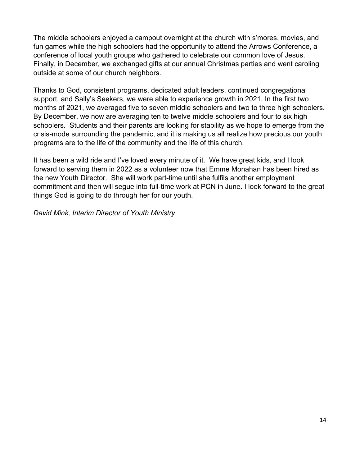The middle schoolers enjoyed a campout overnight at the church with s'mores, movies, and fun games while the high schoolers had the opportunity to attend the Arrows Conference, a conference of local youth groups who gathered to celebrate our common love of Jesus. Finally, in December, we exchanged gifts at our annual Christmas parties and went caroling outside at some of our church neighbors.

Thanks to God, consistent programs, dedicated adult leaders, continued congregational support, and Sally's Seekers, we were able to experience growth in 2021. In the first two months of 2021, we averaged five to seven middle schoolers and two to three high schoolers. By December, we now are averaging ten to twelve middle schoolers and four to six high schoolers. Students and their parents are looking for stability as we hope to emerge from the crisis-mode surrounding the pandemic, and it is making us all realize how precious our youth programs are to the life of the community and the life of this church.

It has been a wild ride and I've loved every minute of it. We have great kids, and I look forward to serving them in 2022 as a volunteer now that Emme Monahan has been hired as the new Youth Director. She will work part-time until she fulfils another employment commitment and then will segue into full-time work at PCN in June. I look forward to the great things God is going to do through her for our youth.

*David Mink, Interim Director of Youth Ministry*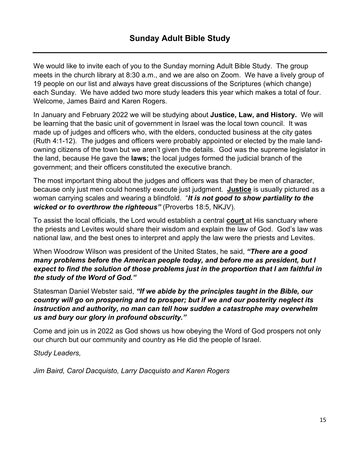We would like to invite each of you to the Sunday morning Adult Bible Study. The group meets in the church library at 8:30 a.m., and we are also on Zoom. We have a lively group of 19 people on our list and always have great discussions of the Scriptures (which change) each Sunday. We have added two more study leaders this year which makes a total of four. Welcome, James Baird and Karen Rogers.

In January and February 2022 we will be studying about **Justice, Law, and History.** We will be learning that the basic unit of government in Israel was the local town council. It was made up of judges and officers who, with the elders, conducted business at the city gates (Ruth 4:1-12). The judges and officers were probably appointed or elected by the male landowning citizens of the town but we aren't given the details. God was the supreme legislator in the land, because He gave the **laws;** the local judges formed the judicial branch of the government; and their officers constituted the executive branch.

The most important thing about the judges and officers was that they be men of character, because only just men could honestly execute just judgment. **Justice** is usually pictured as a woman carrying scales and wearing a blindfold. "*It is not good to show partiality to the wicked or to overthrow the righteous"* (Proverbs 18:5, NKJV).

To assist the local officials, the Lord would establish a central **court** at His sanctuary where the priests and Levites would share their wisdom and explain the law of God. God's law was national law, and the best ones to interpret and apply the law were the priests and Levites.

When Woodrow Wilson was president of the United States, he said, *"There are a good many problems before the American people today, and before me as president, but I expect to find the solution of those problems just in the proportion that I am faithful in the study of the Word of God."* 

Statesman Daniel Webster said, *"If we abide by the principles taught in the Bible, our country will go on prospering and to prosper; but if we and our posterity neglect its instruction and authority, no man can tell how sudden a catastrophe may overwhelm us and bury our glory in profound obscurity."* 

Come and join us in 2022 as God shows us how obeying the Word of God prospers not only our church but our community and country as He did the people of Israel.

*Study Leaders,* 

*Jim Baird, Carol Dacquisto, Larry Dacquisto and Karen Rogers*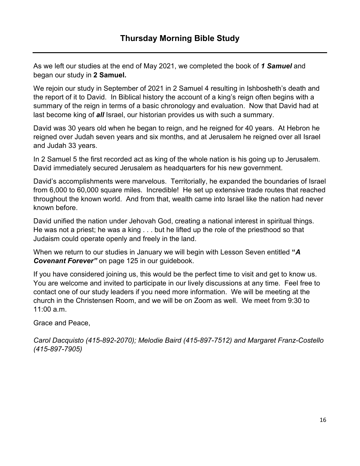As we left our studies at the end of May 2021, we completed the book of *1 Samuel* and began our study in **2 Samuel.** 

We rejoin our study in September of 2021 in 2 Samuel 4 resulting in Ishbosheth's death and the report of it to David. In Biblical history the account of a king's reign often begins with a summary of the reign in terms of a basic chronology and evaluation. Now that David had at last become king of *all* Israel, our historian provides us with such a summary.

David was 30 years old when he began to reign, and he reigned for 40 years. At Hebron he reigned over Judah seven years and six months, and at Jerusalem he reigned over all Israel and Judah 33 years.

In 2 Samuel 5 the first recorded act as king of the whole nation is his going up to Jerusalem. David immediately secured Jerusalem as headquarters for his new government.

David's accomplishments were marvelous. Territorially, he expanded the boundaries of Israel from 6,000 to 60,000 square miles. Incredible! He set up extensive trade routes that reached throughout the known world. And from that, wealth came into Israel like the nation had never known before.

David unified the nation under Jehovah God, creating a national interest in spiritual things. He was not a priest; he was a king . . . but he lifted up the role of the priesthood so that Judaism could operate openly and freely in the land.

When we return to our studies in January we will begin with Lesson Seven entitled **"***A Covenant Forever"* on page 125 in our guidebook.

If you have considered joining us, this would be the perfect time to visit and get to know us. You are welcome and invited to participate in our lively discussions at any time. Feel free to contact one of our study leaders if you need more information. We will be meeting at the church in the Christensen Room, and we will be on Zoom as well. We meet from 9:30 to 11:00 a.m.

Grace and Peace,

*Carol Dacquisto (415-892-2070); Melodie Baird (415-897-7512) and Margaret Franz-Costello (415-897-7905)*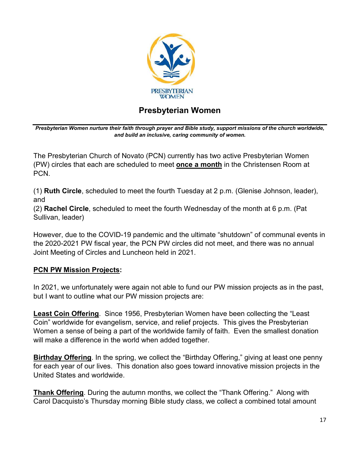

# **Presbyterian Women**

*Presbyterian Women nurture their faith through prayer and Bible study, support missions of the church worldwide, and build an inclusive, caring community of women.* 

The Presbyterian Church of Novato (PCN) currently has two active Presbyterian Women (PW) circles that each are scheduled to meet **once a month** in the Christensen Room at PCN.

(1) **Ruth Circle**, scheduled to meet the fourth Tuesday at 2 p.m. (Glenise Johnson, leader), and

(2) **Rachel Circle**, scheduled to meet the fourth Wednesday of the month at 6 p.m. (Pat Sullivan, leader)

However, due to the COVID-19 pandemic and the ultimate "shutdown" of communal events in the 2020-2021 PW fiscal year, the PCN PW circles did not meet, and there was no annual Joint Meeting of Circles and Luncheon held in 2021.

# **PCN PW Mission Projects:**

In 2021, we unfortunately were again not able to fund our PW mission projects as in the past, but I want to outline what our PW mission projects are:

**Least Coin Offering**. Since 1956, Presbyterian Women have been collecting the "Least Coin" worldwide for evangelism, service, and relief projects. This gives the Presbyterian Women a sense of being a part of the worldwide family of faith. Even the smallest donation will make a difference in the world when added together.

**Birthday Offering**. In the spring, we collect the "Birthday Offering," giving at least one penny for each year of our lives. This donation also goes toward innovative mission projects in the United States and worldwide.

**Thank Offering**. During the autumn months, we collect the "Thank Offering." Along with Carol Dacquisto's Thursday morning Bible study class, we collect a combined total amount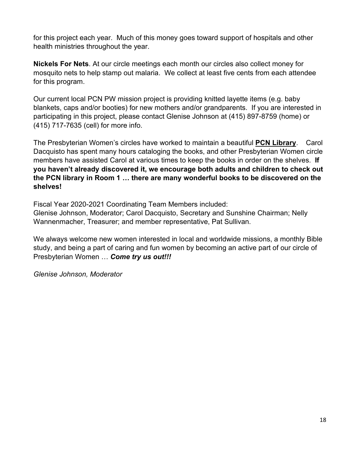for this project each year. Much of this money goes toward support of hospitals and other health ministries throughout the year.

**Nickels For Nets**. At our circle meetings each month our circles also collect money for mosquito nets to help stamp out malaria. We collect at least five cents from each attendee for this program.

Our current local PCN PW mission project is providing knitted layette items (e.g. baby blankets, caps and/or booties) for new mothers and/or grandparents. If you are interested in participating in this project, please contact Glenise Johnson at (415) 897-8759 (home) or (415) 717-7635 (cell) for more info.

The Presbyterian Women's circles have worked to maintain a beautiful **PCN Library**. Carol Dacquisto has spent many hours cataloging the books, and other Presbyterian Women circle members have assisted Carol at various times to keep the books in order on the shelves. **If you haven't already discovered it, we encourage both adults and children to check out the PCN library in Room 1 … there are many wonderful books to be discovered on the shelves!**

Fiscal Year 2020-2021 Coordinating Team Members included:

Glenise Johnson, Moderator; Carol Dacquisto, Secretary and Sunshine Chairman; Nelly Wannenmacher, Treasurer; and member representative, Pat Sullivan.

We always welcome new women interested in local and worldwide missions, a monthly Bible study, and being a part of caring and fun women by becoming an active part of our circle of Presbyterian Women … *Come try us out!!!* 

*Glenise Johnson, Moderator*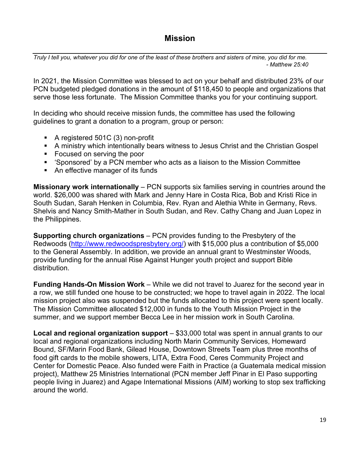# **Mission**

*Truly I tell you, whatever you did for one of the least of these brothers and sisters of mine, you did for me. - Matthew 25:40* 

In 2021, the Mission Committee was blessed to act on your behalf and distributed 23% of our PCN budgeted pledged donations in the amount of \$118,450 to people and organizations that serve those less fortunate. The Mission Committee thanks you for your continuing support.

In deciding who should receive mission funds, the committee has used the following guidelines to grant a donation to a program, group or person:

- A registered 501C (3) non-profit
- A ministry which intentionally bears witness to Jesus Christ and the Christian Gospel
- Focused on serving the poor
- 'Sponsored' by a PCN member who acts as a liaison to the Mission Committee
- An effective manager of its funds

**Missionary work internationally** – PCN supports six families serving in countries around the world. \$26,000 was shared with Mark and Jenny Hare in Costa Rica, Bob and Kristi Rice in South Sudan, Sarah Henken in Columbia, Rev. Ryan and Alethia White in Germany, Revs. Shelvis and Nancy Smith-Mather in South Sudan, and Rev. Cathy Chang and Juan Lopez in the Philippines.

**Supporting church organizations** – PCN provides funding to the Presbytery of the Redwoods (http://www.redwoodspresbytery.org/) with \$15,000 plus a contribution of \$5,000 to the General Assembly. In addition, we provide an annual grant to Westminster Woods, provide funding for the annual Rise Against Hunger youth project and support Bible distribution.

**Funding Hands-On Mission Work** – While we did not travel to Juarez for the second year in a row, we still funded one house to be constructed; we hope to travel again in 2022. The local mission project also was suspended but the funds allocated to this project were spent locally. The Mission Committee allocated \$12,000 in funds to the Youth Mission Project in the summer, and we support member Becca Lee in her mission work in South Carolina.

**Local and regional organization support** – \$33,000 total was spent in annual grants to our local and regional organizations including North Marin Community Services, Homeward Bound, SF/Marin Food Bank, Gilead House, Downtown Streets Team plus three months of food gift cards to the mobile showers, LITA, Extra Food, Ceres Community Project and Center for Domestic Peace. Also funded were Faith in Practice (a Guatemala medical mission project), Matthew 25 Ministries International (PCN member Jeff Pinar in El Paso supporting people living in Juarez) and Agape International Missions (AIM) working to stop sex trafficking around the world.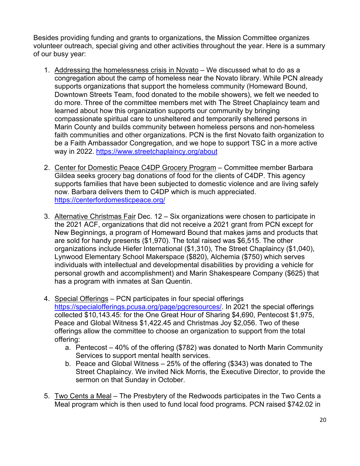Besides providing funding and grants to organizations, the Mission Committee organizes volunteer outreach, special giving and other activities throughout the year. Here is a summary of our busy year:

- 1. Addressing the homelessness crisis in Novato We discussed what to do as a congregation about the camp of homeless near the Novato library. While PCN already supports organizations that support the homeless community (Homeward Bound, Downtown Streets Team, food donated to the mobile showers), we felt we needed to do more. Three of the committee members met with The Street Chaplaincy team and learned about how this organization supports our community by bringing compassionate spiritual care to unsheltered and temporarily sheltered persons in Marin County and builds community between homeless persons and non-homeless faith communities and other organizations. PCN is the first Novato faith organization to be a Faith Ambassador Congregation, and we hope to support TSC in a more active way in 2022. https://www.streetchaplaincy.org/about
- 2. Center for Domestic Peace C4DP Grocery Program Committee member Barbara Gildea seeks grocery bag donations of food for the clients of C4DP. This agency supports families that have been subjected to domestic violence and are living safely now. Barbara delivers them to C4DP which is much appreciated. https://centerfordomesticpeace.org/
- 3. Alternative Christmas Fair Dec. 12 Six organizations were chosen to participate in the 2021 ACF, organizations that did not receive a 2021 grant from PCN except for New Beginnings, a program of Homeward Bound that makes jams and products that are sold for handy presents (\$1,970). The total raised was \$6,515. The other organizations include Hiefer International (\$1,310), The Street Chaplaincy (\$1,040), Lynwood Elementary School Makerspace (\$820), Alchemia (\$750) which serves individuals with intellectual and developmental disabilities by providing a vehicle for personal growth and accomplishment) and Marin Shakespeare Company (\$625) that has a program with inmates at San Quentin.
- 4. Special Offerings PCN participates in four special offerings https://specialofferings.pcusa.org/page/pgcresources/. In 2021 the special offerings collected \$10,143.45: for the One Great Hour of Sharing \$4,690, Pentecost \$1,975, Peace and Global Witness \$1,422.45 and Christmas Joy \$2,056. Two of these offerings allow the committee to choose an organization to support from the total offering:
	- a. Pentecost 40% of the offering (\$782) was donated to North Marin Community Services to support mental health services.
	- b. Peace and Global Witness 25% of the offering (\$343) was donated to The Street Chaplaincy. We invited Nick Morris, the Executive Director, to provide the sermon on that Sunday in October.
- 5. Two Cents a Meal The Presbytery of the Redwoods participates in the Two Cents a Meal program which is then used to fund local food programs. PCN raised \$742.02 in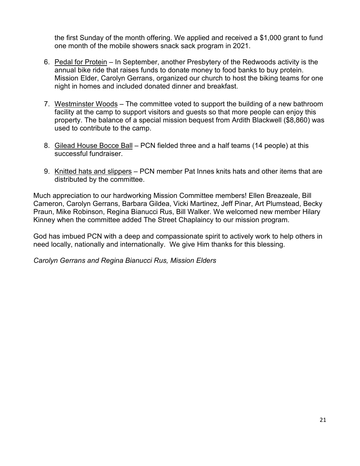the first Sunday of the month offering. We applied and received a \$1,000 grant to fund one month of the mobile showers snack sack program in 2021.

- 6. Pedal for Protein In September, another Presbytery of the Redwoods activity is the annual bike ride that raises funds to donate money to food banks to buy protein. Mission Elder, Carolyn Gerrans, organized our church to host the biking teams for one night in homes and included donated dinner and breakfast.
- 7. Westminster Woods The committee voted to support the building of a new bathroom facility at the camp to support visitors and guests so that more people can enjoy this property. The balance of a special mission bequest from Ardith Blackwell (\$8,860) was used to contribute to the camp.
- 8. Gilead House Bocce Ball PCN fielded three and a half teams (14 people) at this successful fundraiser.
- 9. Knitted hats and slippers PCN member Pat Innes knits hats and other items that are distributed by the committee.

Much appreciation to our hardworking Mission Committee members! Ellen Breazeale, Bill Cameron, Carolyn Gerrans, Barbara Gildea, Vicki Martinez, Jeff Pinar, Art Plumstead, Becky Praun, Mike Robinson, Regina Bianucci Rus, Bill Walker. We welcomed new member Hilary Kinney when the committee added The Street Chaplaincy to our mission program.

God has imbued PCN with a deep and compassionate spirit to actively work to help others in need locally, nationally and internationally. We give Him thanks for this blessing.

*Carolyn Gerrans and Regina Bianucci Rus, Mission Elders*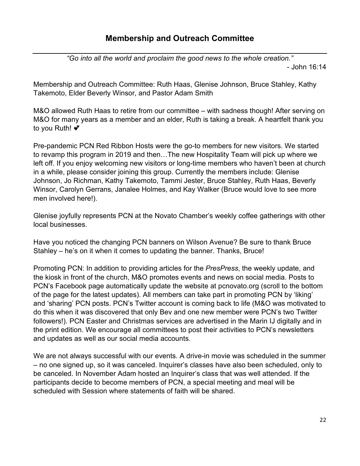# **Membership and Outreach Committee**

*"Go into all the world and proclaim the good news to the whole creation."* 

- John 16:14

Membership and Outreach Committee: Ruth Haas, Glenise Johnson, Bruce Stahley, Kathy Takemoto, Elder Beverly Winsor, and Pastor Adam Smith

M&O allowed Ruth Haas to retire from our committee – with sadness though! After serving on M&O for many years as a member and an elder, Ruth is taking a break. A heartfelt thank you to you Ruth! • ₹

Pre-pandemic PCN Red Ribbon Hosts were the go-to members for new visitors. We started to revamp this program in 2019 and then…The new Hospitality Team will pick up where we left off. If you enjoy welcoming new visitors or long-time members who haven't been at church in a while, please consider joining this group. Currently the members include: Glenise Johnson, Jo Richman, Kathy Takemoto, Tammi Jester, Bruce Stahley, Ruth Haas, Beverly Winsor, Carolyn Gerrans, Janalee Holmes, and Kay Walker (Bruce would love to see more men involved here!).

Glenise joyfully represents PCN at the Novato Chamber's weekly coffee gatherings with other local businesses.

Have you noticed the changing PCN banners on Wilson Avenue? Be sure to thank Bruce Stahley – he's on it when it comes to updating the banner. Thanks, Bruce!

Promoting PCN: In addition to providing articles for the *PresPress*, the weekly update, and the kiosk in front of the church, M&O promotes events and news on social media. Posts to PCN's Facebook page automatically update the website at pcnovato.org (scroll to the bottom of the page for the latest updates). All members can take part in promoting PCN by 'liking' and 'sharing' PCN posts. PCN's Twitter account is coming back to life (M&O was motivated to do this when it was discovered that only Bev and one new member were PCN's two Twitter followers!). PCN Easter and Christmas services are advertised in the Marin IJ digitally and in the print edition. We encourage all committees to post their activities to PCN's newsletters and updates as well as our social media accounts.

We are not always successful with our events. A drive-in movie was scheduled in the summer – no one signed up, so it was canceled. Inquirer's classes have also been scheduled, only to be canceled. In November Adam hosted an Inquirer's class that was well attended. If the participants decide to become members of PCN, a special meeting and meal will be scheduled with Session where statements of faith will be shared.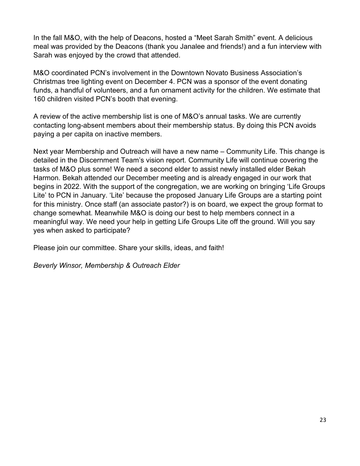In the fall M&O, with the help of Deacons, hosted a "Meet Sarah Smith" event. A delicious meal was provided by the Deacons (thank you Janalee and friends!) and a fun interview with Sarah was enjoyed by the crowd that attended.

M&O coordinated PCN's involvement in the Downtown Novato Business Association's Christmas tree lighting event on December 4. PCN was a sponsor of the event donating funds, a handful of volunteers, and a fun ornament activity for the children. We estimate that 160 children visited PCN's booth that evening.

A review of the active membership list is one of M&O's annual tasks. We are currently contacting long-absent members about their membership status. By doing this PCN avoids paying a per capita on inactive members.

Next year Membership and Outreach will have a new name – Community Life. This change is detailed in the Discernment Team's vision report. Community Life will continue covering the tasks of M&O plus some! We need a second elder to assist newly installed elder Bekah Harmon. Bekah attended our December meeting and is already engaged in our work that begins in 2022. With the support of the congregation, we are working on bringing 'Life Groups Lite' to PCN in January. 'Lite' because the proposed January Life Groups are a starting point for this ministry. Once staff (an associate pastor?) is on board, we expect the group format to change somewhat. Meanwhile M&O is doing our best to help members connect in a meaningful way. We need your help in getting Life Groups Lite off the ground. Will you say yes when asked to participate?

Please join our committee. Share your skills, ideas, and faith!

*Beverly Winsor, Membership & Outreach Elder*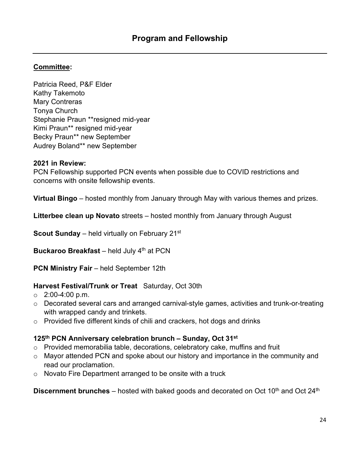# **Committee:**

Patricia Reed, P&F Elder Kathy Takemoto Mary Contreras Tonya Church Stephanie Praun \*\*resigned mid-year Kimi Praun\*\* resigned mid-year Becky Praun\*\* new September Audrey Boland\*\* new September

### **2021 in Review:**

PCN Fellowship supported PCN events when possible due to COVID restrictions and concerns with onsite fellowship events.

**Virtual Bingo** – hosted monthly from January through May with various themes and prizes.

**Litterbee clean up Novato** streets – hosted monthly from January through August

**Scout Sunday** – held virtually on February 21<sup>st</sup>

**Buckaroo Breakfast** – held July 4<sup>th</sup> at PCN

**PCN Ministry Fair** – held September 12th

# **Harvest Festival/Trunk or Treat** Saturday, Oct 30th

- $\circ$  2:00-4:00 p.m.
- o Decorated several cars and arranged carnival-style games, activities and trunk-or-treating with wrapped candy and trinkets.
- o Provided five different kinds of chili and crackers, hot dogs and drinks

## **125th PCN Anniversary celebration brunch – Sunday, Oct 31 st**

- o Provided memorabilia table, decorations, celebratory cake, muffins and fruit
- o Mayor attended PCN and spoke about our history and importance in the community and read our proclamation.
- o Novato Fire Department arranged to be onsite with a truck

**Discernment brunches** – hosted with baked goods and decorated on Oct 10<sup>th</sup> and Oct 24<sup>th</sup>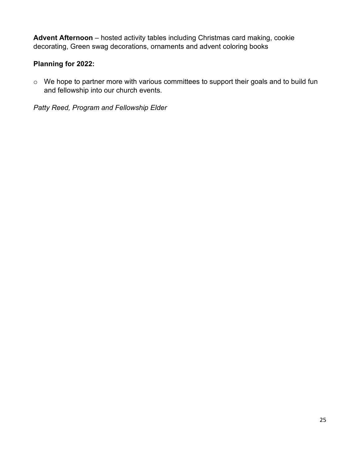**Advent Afternoon** – hosted activity tables including Christmas card making, cookie decorating, Green swag decorations, ornaments and advent coloring books

# **Planning for 2022:**

o We hope to partner more with various committees to support their goals and to build fun and fellowship into our church events.

*Patty Reed, Program and Fellowship Elder*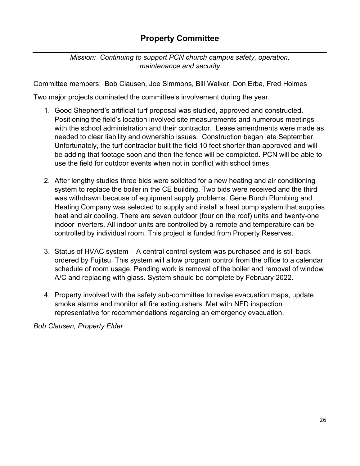# **Property Committee**

*Mission: Continuing to support PCN church campus safety, operation, maintenance and security* 

Committee members: Bob Clausen, Joe Simmons, Bill Walker, Don Erba, Fred Holmes

Two major projects dominated the committee's involvement during the year.

- 1. Good Shepherd's artificial turf proposal was studied, approved and constructed. Positioning the field's location involved site measurements and numerous meetings with the school administration and their contractor. Lease amendments were made as needed to clear liability and ownership issues. Construction began late September. Unfortunately, the turf contractor built the field 10 feet shorter than approved and will be adding that footage soon and then the fence will be completed. PCN will be able to use the field for outdoor events when not in conflict with school times.
- 2. After lengthy studies three bids were solicited for a new heating and air conditioning system to replace the boiler in the CE building. Two bids were received and the third was withdrawn because of equipment supply problems. Gene Burch Plumbing and Heating Company was selected to supply and install a heat pump system that supplies heat and air cooling. There are seven outdoor (four on the roof) units and twenty-one indoor inverters. All indoor units are controlled by a remote and temperature can be controlled by individual room. This project is funded from Property Reserves.
- 3. Status of HVAC system A central control system was purchased and is still back ordered by Fujitsu. This system will allow program control from the office to a calendar schedule of room usage. Pending work is removal of the boiler and removal of window A/C and replacing with glass. System should be complete by February 2022.
- 4. Property involved with the safety sub-committee to revise evacuation maps, update smoke alarms and monitor all fire extinguishers. Met with NFD inspection representative for recommendations regarding an emergency evacuation.

*Bob Clausen, Property Elder*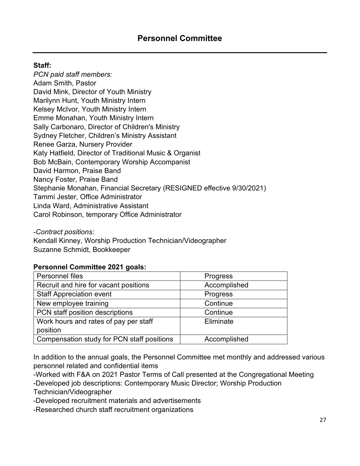# **Staff:**

*PCN paid staff members:* Adam Smith, Pastor David Mink, Director of Youth Ministry Marilynn Hunt, Youth Ministry Intern Kelsey McIvor, Youth Ministry Intern Emme Monahan, Youth Ministry Intern Sally Carbonaro, Director of Children's Ministry Sydney Fletcher, Children's Ministry Assistant Renee Garza, Nursery Provider Katy Hatfield, Director of Traditional Music & Organist Bob McBain, Contemporary Worship Accompanist David Harmon, Praise Band Nancy Foster, Praise Band Stephanie Monahan, Financial Secretary (RESIGNED effective 9/30/2021) Tammi Jester, Office Administrator Linda Ward, Administrative Assistant Carol Robinson, temporary Office Administrator

-*Contract positions:*

Kendall Kinney, Worship Production Technician/Videographer Suzanne Schmidt, Bookkeeper

### **Personnel Committee 2021 goals:**

| Personnel files                            | <b>Progress</b> |
|--------------------------------------------|-----------------|
| Recruit and hire for vacant positions      | Accomplished    |
| <b>Staff Appreciation event</b>            | Progress        |
| New employee training                      | Continue        |
| PCN staff position descriptions            | Continue        |
| Work hours and rates of pay per staff      | Eliminate       |
| position                                   |                 |
| Compensation study for PCN staff positions | Accomplished    |

In addition to the annual goals, the Personnel Committee met monthly and addressed various personnel related and confidential items

-Worked with F&A on 2021 Pastor Terms of Call presented at the Congregational Meeting -Developed job descriptions: Contemporary Music Director; Worship Production Technician/Videographer

-Developed recruitment materials and advertisements

-Researched church staff recruitment organizations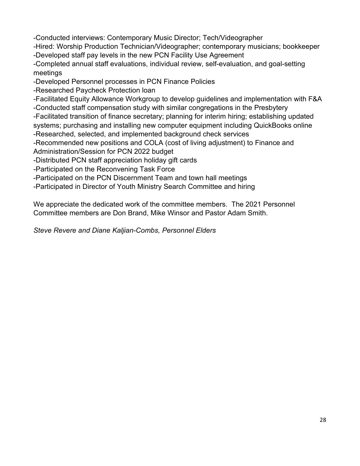-Conducted interviews: Contemporary Music Director; Tech/Videographer

-Hired: Worship Production Technician/Videographer; contemporary musicians; bookkeeper -Developed staff pay levels in the new PCN Facility Use Agreement

-Completed annual staff evaluations, individual review, self-evaluation, and goal-setting meetings

-Developed Personnel processes in PCN Finance Policies

-Researched Paycheck Protection loan

-Facilitated Equity Allowance Workgroup to develop guidelines and implementation with F&A

-Conducted staff compensation study with similar congregations in the Presbytery

-Facilitated transition of finance secretary; planning for interim hiring; establishing updated systems; purchasing and installing new computer equipment including QuickBooks online -Researched, selected, and implemented background check services

-Recommended new positions and COLA (cost of living adjustment) to Finance and Administration/Session for PCN 2022 budget

-Distributed PCN staff appreciation holiday gift cards

-Participated on the Reconvening Task Force

-Participated on the PCN Discernment Team and town hall meetings

-Participated in Director of Youth Ministry Search Committee and hiring

We appreciate the dedicated work of the committee members. The 2021 Personnel Committee members are Don Brand, Mike Winsor and Pastor Adam Smith.

*Steve Revere and Diane Kaljian-Combs, Personnel Elders*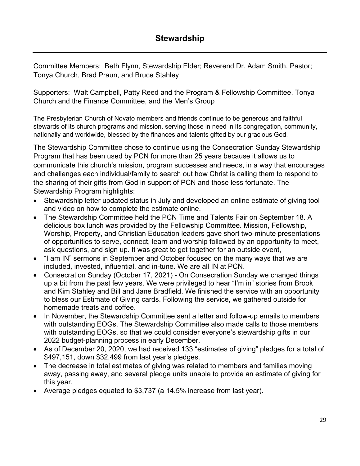Committee Members: Beth Flynn, Stewardship Elder; Reverend Dr. Adam Smith, Pastor; Tonya Church, Brad Praun, and Bruce Stahley

Supporters: Walt Campbell, Patty Reed and the Program & Fellowship Committee, Tonya Church and the Finance Committee, and the Men's Group

The Presbyterian Church of Novato members and friends continue to be generous and faithful stewards of its church programs and mission, serving those in need in its congregation, community, nationally and worldwide, blessed by the finances and talents gifted by our gracious God.

The Stewardship Committee chose to continue using the Consecration Sunday Stewardship Program that has been used by PCN for more than 25 years because it allows us to communicate this church's mission, program successes and needs, in a way that encourages and challenges each individual/family to search out how Christ is calling them to respond to the sharing of their gifts from God in support of PCN and those less fortunate. The Stewardship Program highlights:

- Stewardship letter updated status in July and developed an online estimate of giving tool and video on how to complete the estimate online.
- The Stewardship Committee held the PCN Time and Talents Fair on September 18. A delicious box lunch was provided by the Fellowship Committee. Mission, Fellowship, Worship, Property, and Christian Education leaders gave short two-minute presentations of opportunities to serve, connect, learn and worship followed by an opportunity to meet, ask questions, and sign up. It was great to get together for an outside event,
- "I am IN" sermons in September and October focused on the many ways that we are included, invested, influential, and in-tune. We are all IN at PCN.
- Consecration Sunday (October 17, 2021) On Consecration Sunday we changed things up a bit from the past few years. We were privileged to hear "I'm in" stories from Brook and Kim Stahley and Bill and Jane Bradfield. We finished the service with an opportunity to bless our Estimate of Giving cards. Following the service, we gathered outside for homemade treats and coffee.
- In November, the Stewardship Committee sent a letter and follow-up emails to members with outstanding EOGs. The Stewardship Committee also made calls to those members with outstanding EOGs, so that we could consider everyone's stewardship gifts in our 2022 budget-planning process in early December.
- As of December 20, 2020, we had received 133 "estimates of giving" pledges for a total of \$497,151, down \$32,499 from last year's pledges.
- The decrease in total estimates of giving was related to members and families moving away, passing away, and several pledge units unable to provide an estimate of giving for this year.
- Average pledges equated to \$3,737 (a 14.5% increase from last year).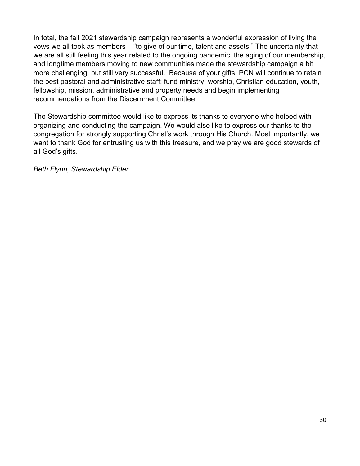In total, the fall 2021 stewardship campaign represents a wonderful expression of living the vows we all took as members – "to give of our time, talent and assets." The uncertainty that we are all still feeling this year related to the ongoing pandemic, the aging of our membership, and longtime members moving to new communities made the stewardship campaign a bit more challenging, but still very successful. Because of your gifts, PCN will continue to retain the best pastoral and administrative staff; fund ministry, worship, Christian education, youth, fellowship, mission, administrative and property needs and begin implementing recommendations from the Discernment Committee.

The Stewardship committee would like to express its thanks to everyone who helped with organizing and conducting the campaign. We would also like to express our thanks to the congregation for strongly supporting Christ's work through His Church. Most importantly, we want to thank God for entrusting us with this treasure, and we pray we are good stewards of all God's gifts.

*Beth Flynn, Stewardship Elder*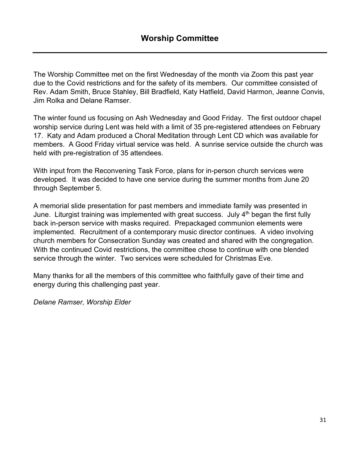The Worship Committee met on the first Wednesday of the month via Zoom this past year due to the Covid restrictions and for the safety of its members. Our committee consisted of Rev. Adam Smith, Bruce Stahley, Bill Bradfield, Katy Hatfield, David Harmon, Jeanne Convis, Jim Rolka and Delane Ramser.

The winter found us focusing on Ash Wednesday and Good Friday. The first outdoor chapel worship service during Lent was held with a limit of 35 pre-registered attendees on February 17. Katy and Adam produced a Choral Meditation through Lent CD which was available for members. A Good Friday virtual service was held. A sunrise service outside the church was held with pre-registration of 35 attendees.

With input from the Reconvening Task Force, plans for in-person church services were developed. It was decided to have one service during the summer months from June 20 through September 5.

A memorial slide presentation for past members and immediate family was presented in June. Liturgist training was implemented with great success. July 4<sup>th</sup> began the first fully back in-person service with masks required. Prepackaged communion elements were implemented. Recruitment of a contemporary music director continues. A video involving church members for Consecration Sunday was created and shared with the congregation. With the continued Covid restrictions, the committee chose to continue with one blended service through the winter. Two services were scheduled for Christmas Eve.

Many thanks for all the members of this committee who faithfully gave of their time and energy during this challenging past year.

*Delane Ramser, Worship Elder*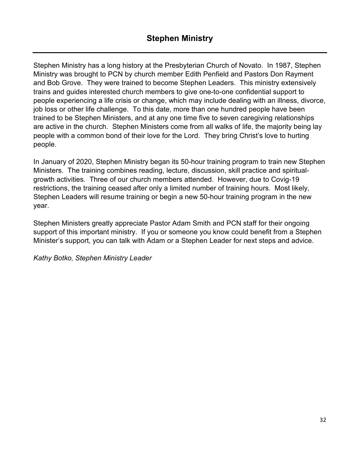Stephen Ministry has a long history at the Presbyterian Church of Novato. In 1987, Stephen Ministry was brought to PCN by church member Edith Penfield and Pastors Don Rayment and Bob Grove. They were trained to become Stephen Leaders. This ministry extensively trains and guides interested church members to give one-to-one confidential support to people experiencing a life crisis or change, which may include dealing with an illness, divorce, job loss or other life challenge. To this date, more than one hundred people have been trained to be Stephen Ministers, and at any one time five to seven caregiving relationships are active in the church. Stephen Ministers come from all walks of life, the majority being lay people with a common bond of their love for the Lord. They bring Christ's love to hurting people.

In January of 2020, Stephen Ministry began its 50-hour training program to train new Stephen Ministers. The training combines reading, lecture, discussion, skill practice and spiritualgrowth activities. Three of our church members attended. However, due to Covig-19 restrictions, the training ceased after only a limited number of training hours. Most likely, Stephen Leaders will resume training or begin a new 50-hour training program in the new year.

Stephen Ministers greatly appreciate Pastor Adam Smith and PCN staff for their ongoing support of this important ministry. If you or someone you know could benefit from a Stephen Minister's support, you can talk with Adam or a Stephen Leader for next steps and advice.

*Kathy Botko, Stephen Ministry Leader*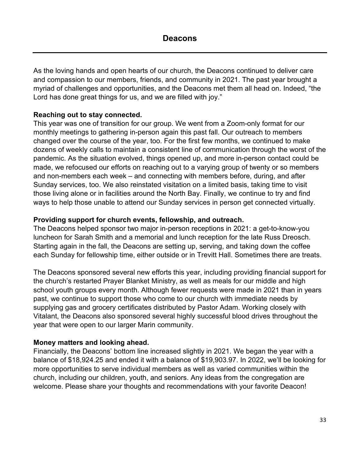As the loving hands and open hearts of our church, the Deacons continued to deliver care and compassion to our members, friends, and community in 2021. The past year brought a myriad of challenges and opportunities, and the Deacons met them all head on. Indeed, "the Lord has done great things for us, and we are filled with joy."

## **Reaching out to stay connected.**

This year was one of transition for our group. We went from a Zoom-only format for our monthly meetings to gathering in-person again this past fall. Our outreach to members changed over the course of the year, too. For the first few months, we continued to make dozens of weekly calls to maintain a consistent line of communication through the worst of the pandemic. As the situation evolved, things opened up, and more in-person contact could be made, we refocused our efforts on reaching out to a varying group of twenty or so members and non-members each week – and connecting with members before, during, and after Sunday services, too. We also reinstated visitation on a limited basis, taking time to visit those living alone or in facilities around the North Bay. Finally, we continue to try and find ways to help those unable to attend our Sunday services in person get connected virtually.

## **Providing support for church events, fellowship, and outreach.**

The Deacons helped sponsor two major in-person receptions in 2021: a get-to-know-you luncheon for Sarah Smith and a memorial and lunch reception for the late Russ Dreosch. Starting again in the fall, the Deacons are setting up, serving, and taking down the coffee each Sunday for fellowship time, either outside or in Trevitt Hall. Sometimes there are treats.

The Deacons sponsored several new efforts this year, including providing financial support for the church's restarted Prayer Blanket Ministry, as well as meals for our middle and high school youth groups every month. Although fewer requests were made in 2021 than in years past, we continue to support those who come to our church with immediate needs by supplying gas and grocery certificates distributed by Pastor Adam. Working closely with Vitalant, the Deacons also sponsored several highly successful blood drives throughout the year that were open to our larger Marin community.

### **Money matters and looking ahead.**

Financially, the Deacons' bottom line increased slightly in 2021. We began the year with a balance of \$18,924.25 and ended it with a balance of \$19,903.97. In 2022, we'll be looking for more opportunities to serve individual members as well as varied communities within the church, including our children, youth, and seniors. Any ideas from the congregation are welcome. Please share your thoughts and recommendations with your favorite Deacon!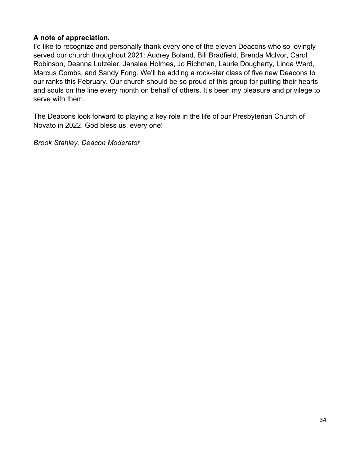## **A note of appreciation.**

I'd like to recognize and personally thank every one of the eleven Deacons who so lovingly served our church throughout 2021: Audrey Boland, Bill Bradfield, Brenda McIvor, Carol Robinson, Deanna Lutzeier, Janalee Holmes, Jo Richman, Laurie Dougherty, Linda Ward, Marcus Combs, and Sandy Fong. We'll be adding a rock-star class of five new Deacons to our ranks this February. Our church should be so proud of this group for putting their hearts and souls on the line every month on behalf of others. It's been my pleasure and privilege to serve with them.

The Deacons look forward to playing a key role in the life of our Presbyterian Church of Novato in 2022. God bless us, every one!

*Brook Stahley, Deacon Moderator*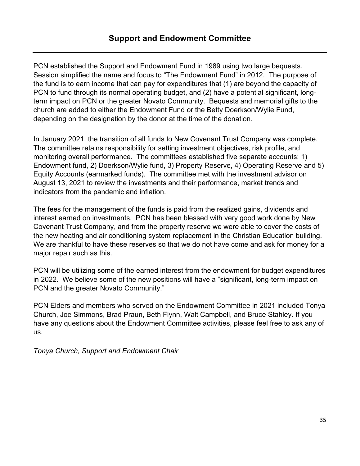PCN established the Support and Endowment Fund in 1989 using two large bequests. Session simplified the name and focus to "The Endowment Fund" in 2012. The purpose of the fund is to earn income that can pay for expenditures that (1) are beyond the capacity of PCN to fund through its normal operating budget, and (2) have a potential significant, longterm impact on PCN or the greater Novato Community. Bequests and memorial gifts to the church are added to either the Endowment Fund or the Betty Doerkson/Wylie Fund, depending on the designation by the donor at the time of the donation.

In January 2021, the transition of all funds to New Covenant Trust Company was complete. The committee retains responsibility for setting investment objectives, risk profile, and monitoring overall performance. The committees established five separate accounts: 1) Endowment fund, 2) Doerkson/Wylie fund, 3) Property Reserve, 4) Operating Reserve and 5) Equity Accounts (earmarked funds). The committee met with the investment advisor on August 13, 2021 to review the investments and their performance, market trends and indicators from the pandemic and inflation.

The fees for the management of the funds is paid from the realized gains, dividends and interest earned on investments. PCN has been blessed with very good work done by New Covenant Trust Company, and from the property reserve we were able to cover the costs of the new heating and air conditioning system replacement in the Christian Education building. We are thankful to have these reserves so that we do not have come and ask for money for a major repair such as this.

PCN will be utilizing some of the earned interest from the endowment for budget expenditures in 2022. We believe some of the new positions will have a "significant, long-term impact on PCN and the greater Novato Community."

PCN Elders and members who served on the Endowment Committee in 2021 included Tonya Church, Joe Simmons, Brad Praun, Beth Flynn, Walt Campbell, and Bruce Stahley. If you have any questions about the Endowment Committee activities, please feel free to ask any of us.

*Tonya Church, Support and Endowment Chair*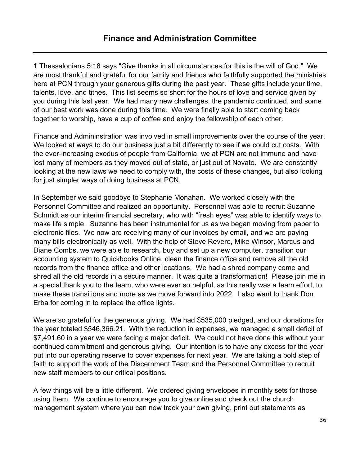1 Thessalonians 5:18 says "Give thanks in all circumstances for this is the will of God." We are most thankful and grateful for our family and friends who faithfully supported the ministries here at PCN through your generous gifts during the past year. These gifts include your time, talents, love, and tithes. This list seems so short for the hours of love and service given by you during this last year. We had many new challenges, the pandemic continued, and some of our best work was done during this time. We were finally able to start coming back together to worship, have a cup of coffee and enjoy the fellowship of each other.

Finance and Admininstration was involved in small improvements over the course of the year. We looked at ways to do our business just a bit differently to see if we could cut costs. With the ever-increasing exodus of people from California, we at PCN are not immune and have lost many of members as they moved out of state, or just out of Novato. We are constantly looking at the new laws we need to comply with, the costs of these changes, but also looking for just simpler ways of doing business at PCN.

In September we said goodbye to Stephanie Monahan. We worked closely with the Personnel Committee and realized an opportunity. Personnel was able to recruit Suzanne Schmidt as our interim financial secretary, who with "fresh eyes" was able to identify ways to make life simple. Suzanne has been instrumental for us as we began moving from paper to electronic files. We now are receiving many of our invoices by email, and we are paying many bills electronically as well. With the help of Steve Revere, Mike Winsor, Marcus and Diane Combs, we were able to research, buy and set up a new computer, transition our accounting system to Quickbooks Online, clean the finance office and remove all the old records from the finance office and other locations. We had a shred company come and shred all the old records in a secure manner. It was quite a transformation! Please join me in a special thank you to the team, who were ever so helpful, as this really was a team effort, to make these transitions and more as we move forward into 2022. I also want to thank Don Erba for coming in to replace the office lights.

We are so grateful for the generous giving. We had \$535,000 pledged, and our donations for the year totaled \$546,366.21. With the reduction in expenses, we managed a small deficit of \$7,491.60 in a year we were facing a major deficit. We could not have done this without your continued commitment and generous giving. Our intention is to have any excess for the year put into our operating reserve to cover expenses for next year. We are taking a bold step of faith to support the work of the Discernment Team and the Personnel Committee to recruit new staff members to our critical positions.

A few things will be a little different. We ordered giving envelopes in monthly sets for those using them. We continue to encourage you to give online and check out the church management system where you can now track your own giving, print out statements as